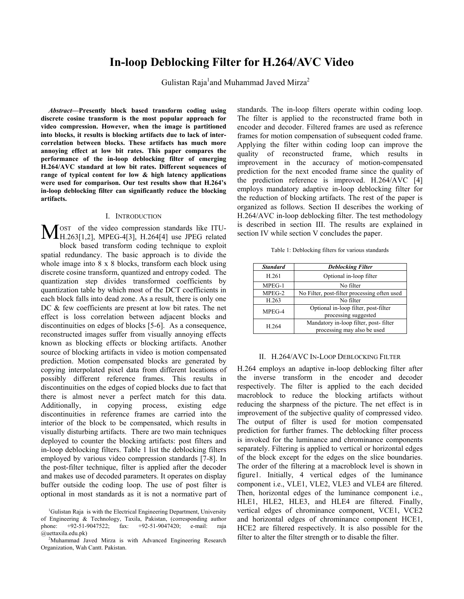# **In-loop Deblocking Filter for H.264/AVC Video**

Gulistan Raja<sup>1</sup>and Muhammad Javed Mirza<sup>2</sup>

*Abstract***—Presently block based transform coding using discrete cosine transform is the most popular approach for video compression. However, when the image is partitioned into blocks, it results is blocking artifacts due to lack of intercorrelation between blocks. These artifacts has much more annoying effect at low bit rates. This paper compares the performance of the in-loop deblocking filter of emerging H.264/AVC standard at low bit rates. Different sequences of range of typical content for low & high latency applications were used for comparison. Our test results show that H.264's in-loop deblocking filter can significantly reduce the blocking artifacts.** 

## I. INTRODUCTION

OST of the video compression standards like ITU-MOST of the video compression standards like ITU-<br>H.263[1,2], MPEG-4[3], H.264[4] use JPEG related block based transform coding technique to exploit spatial redundancy. The basic approach is to divide the whole image into 8 x 8 blocks, transform each block using discrete cosine transform, quantized and entropy coded. The quantization step divides transformed coefficients by quantization table by which most of the DCT coefficients in each block falls into dead zone. As a result, there is only one DC & few coefficients are present at low bit rates. The net effect is loss correlation between adjacent blocks and discontinuities on edges of blocks [5-6]. As a consequence, reconstructed images suffer from visually annoying effects known as blocking effects or blocking artifacts. Another source of blocking artifacts in video is motion compensated prediction. Motion compensated blocks are generated by copying interpolated pixel data from different locations of possibly different reference frames. This results in discontinuities on the edges of copied blocks due to fact that there is almost never a perfect match for this data. Additionally, in copying process, existing edge discontinuities in reference frames are carried into the interior of the block to be compensated, which results in visually disturbing artifacts. There are two main techniques deployed to counter the blocking artifacts: post filters and in-loop deblocking filters. Table 1 list the deblocking filters employed by various video compression standards [7-8]. In the post-filter technique, filter is applied after the decoder and makes use of decoded parameters. It operates on display buffer outside the coding loop. The use of post filter is optional in most standards as it is not a normative part of

standards. The in-loop filters operate within coding loop. The filter is applied to the reconstructed frame both in encoder and decoder. Filtered frames are used as reference frames for motion compensation of subsequent coded frame. Applying the filter within coding loop can improve the quality of reconstructed frame, which results in improvement in the accuracy of motion-compensated prediction for the next encoded frame since the quality of the prediction reference is improved. H.264/AVC [4] employs mandatory adaptive in-loop deblocking filter for the reduction of blocking artifacts. The rest of the paper is organized as follows. Section II describes the working of H.264/AVC in-loop deblocking filter. The test methodology is described in section III. The results are explained in section IV while section V concludes the paper.

Table 1: Deblocking filters for various standards

| <b>Standard</b> | <b>Deblocking Filter</b>                                             |  |  |
|-----------------|----------------------------------------------------------------------|--|--|
| H.261           | Optional in-loop filter                                              |  |  |
| $MPEG-1$        | No filter                                                            |  |  |
| $MPEG-2$        | No Filter, post-filter processing often used                         |  |  |
| H.263           | No filter                                                            |  |  |
| MPEG-4          | Optional in-loop filter, post-filter<br>processing suggested         |  |  |
| H.264           | Mandatory in-loop filter, post-filter<br>processing may also be used |  |  |

#### II. H.264/AVC IN-LOOP DEBLOCKING FILTER

H.264 employs an adaptive in-loop deblocking filter after the inverse transform in the encoder and decoder respectively. The filter is applied to the each decided macroblock to reduce the blocking artifacts without reducing the sharpness of the picture. The net effect is in improvement of the subjective quality of compressed video. The output of filter is used for motion compensated prediction for further frames. The deblocking filter process is invoked for the luminance and chrominance components separately. Filtering is applied to vertical or horizontal edges of the block except for the edges on the slice boundaries. The order of the filtering at a macroblock level is shown in figure1. Initially, 4 vertical edges of the luminance component i.e., VLE1, VLE2, VLE3 and VLE4 are filtered. Then, horizontal edges of the luminance component i.e., HLE1, HLE2, HLE3, and HLE4 are filtered. Finally, vertical edges of chrominance component, VCE1, VCE2 and horizontal edges of chrominance component HCE1, HCE2 are filtered respectively. It is also possible for the filter to alter the filter strength or to disable the filter.

<sup>&</sup>lt;sup>1</sup>Gulistan Raja is with the Electrical Engineering Department, University of Engineering & Technology, Taxila, Pakistan, (corresponding author phone: +92-51-9047522; fax: +92-51-9047420; e-mail: raja @uettaxila.edu.pk) 2

<sup>&</sup>lt;sup>2</sup>Muhammad Javed Mirza is with Advanced Engineering Research Organization, Wah Cantt. Pakistan.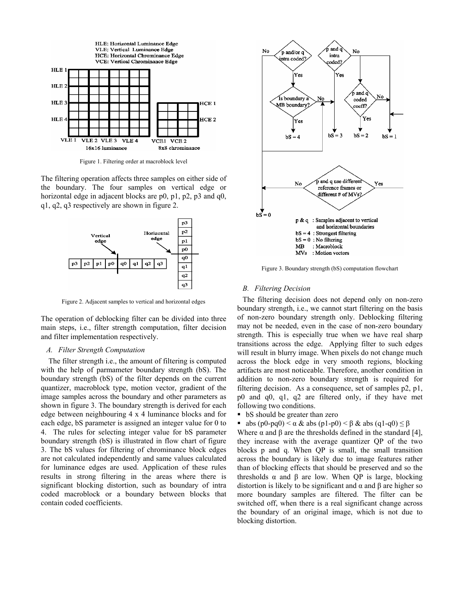

Figure 1. Filtering order at macroblock level

The filtering operation affects three samples on either side of the boundary. The four samples on vertical edge or horizontal edge in adjacent blocks are p0, p1, p2, p3 and q0, q1, q2, q3 respectively are shown in figure 2.



Figure 2. Adjacent samples to vertical and horizontal edges

The operation of deblocking filter can be divided into three main steps, i.e., filter strength computation, filter decision and filter implementation respectively.

## *A. Filter Strength Computation*

 The filter strength i.e., the amount of filtering is computed with the help of parmameter boundary strength (bS). The boundary strength (bS) of the filter depends on the current quantizer, macroblock type, motion vector, gradient of the image samples across the boundary and other parameters as shown in figure 3. The boundary strength is derived for each edge between neighbouring 4 x 4 luminance blocks and for each edge, bS parameter is assigned an integer value for 0 to 4. The rules for selecting integer value for bS parameter boundary strength (bS) is illustrated in flow chart of figure 3. The bS values for filtering of chrominance block edges are not calculated independently and same values calculated for luminance edges are used. Application of these rules results in strong filtering in the areas where there is significant blocking distortion, such as boundary of intra coded macroblock or a boundary between blocks that contain coded coefficients.



Figure 3. Boundary strength (bS) computation flowchart

## *B. Filtering Decision*

The filtering decision does not depend only on non-zero boundary strength, i.e., we cannot start filtering on the basis of non-zero boundary strength only. Deblocking filtering may not be needed, even in the case of non-zero boundary strength. This is especially true when we have real sharp transitions across the edge. Applying filter to such edges will result in blurry image. When pixels do not change much across the block edge in very smooth regions, blocking artifacts are most noticeable. Therefore, another condition in addition to non-zero boundary strength is required for filtering decision. As a consequence, set of samples p2, p1, p0 and q0, q1, q2 are filtered only, if they have met following two conditions.

bS should be greater than zero

abs  $(p0-pq0) < \alpha \&$  abs  $(p1-p0) < \beta \&$  abs  $(q1-q0) \leq \beta$ 

Where  $\alpha$  and  $\beta$  are the thresholds defined in the standard [4], they increase with the average quantizer QP of the two blocks p and q. When QP is small, the small transition across the boundary is likely due to image features rather than of blocking effects that should be preserved and so the thresholds  $\alpha$  and  $\beta$  are low. When QP is large, blocking distortion is likely to be significant and  $α$  and  $β$  are higher so more boundary samples are filtered. The filter can be switched off, when there is a real significant change across the boundary of an original image, which is not due to blocking distortion.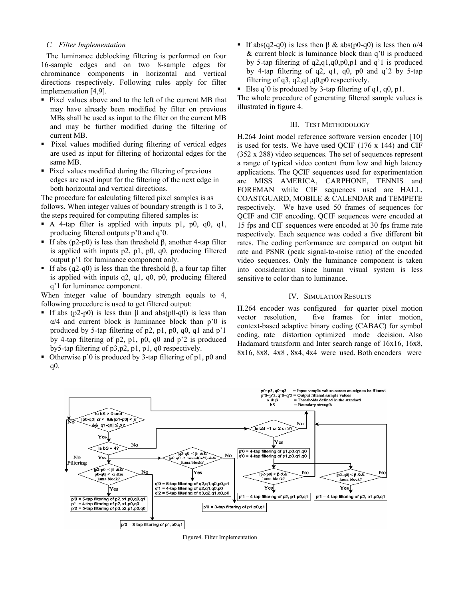## *C. Filter Implementation*

The luminance deblocking filtering is performed on four 16-sample edges and on two 8-sample edges for chrominance components in horizontal and vertical directions respectively. Following rules apply for filter implementation [4,9].

- Pixel values above and to the left of the current MB that may have already been modified by filter on previous MBs shall be used as input to the filter on the current MB and may be further modified during the filtering of current MB.
- Pixel values modified during filtering of vertical edges are used as input for filtering of horizontal edges for the same MB.
- Pixel values modified during the filtering of previous edges are used input for the filtering of the next edge in both horizontal and vertical directions.

The procedure for calculating filtered pixel samples is as follows. When integer values of boundary strength is 1 to 3, the steps required for computing filtered samples is:

- A 4-tap filter is applied with inputs p1, p0, q0, q1, producing filtered outputs p'0 and q'0.
- If abs  $(p2-p0)$  is less than threshold β, another 4-tap filter is applied with inputs p2, p1, p0, q0, producing filtered output p'1 for luminance component only.
- If abs (q2-q0) is less than the threshold β, a four tap filter is applied with inputs q2, q1, q0, p0, producing filtered q'1 for luminance component.

When integer value of boundary strength equals to 4, following procedure is used to get filtered output:

- If abs  $(p2-p0)$  is less than  $\beta$  and abs $(p0-q0)$  is less than  $\alpha/4$  and current block is luminance block than p'0 is produced by 5-tap filtering of p2, p1, p0, q0, q1 and p'1 by 4-tap filtering of p2, p1, p0, q0 and p'2 is produced by5-tap filtering of p3,p2, p1, p1, q0 respectively.
- Otherwise p'0 is produced by 3-tap filtering of p1, p0 and q0.

If abs(q2-q0) is less then  $\beta \&$  abs(p0-q0) is less then  $\alpha/4$ & current block is luminance block than q'0 is produced by 5-tap filtering of q2,q1,q0,p0,p1 and q'1 is produced by 4-tap filtering of q2, q1, q0, p0 and q'2 by 5-tap filtering of q3, q2,q1,q0,p0 respectively.

Else q'0 is produced by 3-tap filtering of q1, q0, p1.

The whole procedure of generating filtered sample values is illustrated in figure 4.

## III. TEST METHODOLOGY

H.264 Joint model reference software version encoder [10] is used for tests. We have used QCIF (176 x 144) and CIF (352 x 288) video sequences. The set of sequences represent a range of typical video content from low and high latency applications. The QCIF sequences used for experimentation are MISS AMERICA, CARPHONE, TENNIS and FOREMAN while CIF sequences used are HALL, COASTGUARD, MOBILE & CALENDAR and TEMPETE respectively. We have used 50 frames of sequences for QCIF and CIF encoding. QCIF sequences were encoded at 15 fps and CIF sequences were encoded at 30 fps frame rate respectively. Each sequence was coded a five different bit rates. The coding performance are compared on output bit rate and PSNR (peak signal-to-noise ratio) of the encoded video sequences. Only the luminance component is taken into consideration since human visual system is less sensitive to color than to luminance.

## IV. SIMULATION RESULTS

H.264 encoder was configured for quarter pixel motion vector resolution, five frames for inter motion, context-based adaptive binary coding (CABAC) for symbol coding, rate distortion optimized mode decision. Also Hadamard transform and Inter search range of 16x16, 16x8, 8x16, 8x8, 4x8 , 8x4, 4x4 were used. Both encoders were



Figure4. Filter Implementation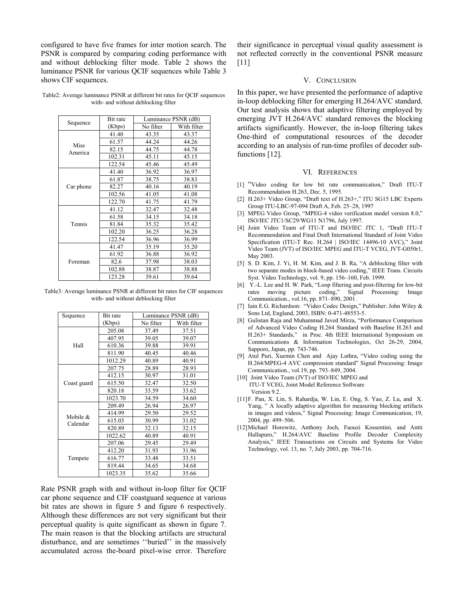configured to have five frames for inter motion search. The PSNR is compared by comparing coding performance with and without deblocking filter mode. Table 2 shows the luminance PSNR for various QCIF sequences while Table 3 shows CIF sequences.

Table2: Average luminance PSNR at different bit rates for QCIF sequences with- and without deblocking filter

| Sequence        | Bit rate | Luminance PSNR (dB) |             |
|-----------------|----------|---------------------|-------------|
|                 | (Kbps)   | No filter           | With filter |
| Miss<br>America | 41.40    | 43.35               | 43.37       |
|                 | 61.57    | 44.24               | 44.26       |
|                 | 82.15    | 44.75               | 44.78       |
|                 | 102.31   | 45.11               | 45.15       |
|                 | 122.54   | 45.46               | 45.49       |
| Car phone       | 41.40    | 36.92               | 36.97       |
|                 | 61.87    | 38.75               | 38.83       |
|                 | 82.27    | 40.16               | 40.19       |
|                 | 102.56   | 41.05               | 41.08       |
|                 | 122.70   | 41.75               | 41.79       |
| Tennis          | 41.12    | 32.47               | 32.48       |
|                 | 61.58    | 34.15               | 34.18       |
|                 | 81.84    | 35.32               | 35.42       |
|                 | 102.20   | 36.25               | 36.28       |
|                 | 122.54   | 36.96               | 36.99       |
| Foreman         | 41.47    | 35.19               | 35.20       |
|                 | 61.92    | 36.88               | 36.92       |
|                 | 82.6     | 37.98               | 38.03       |
|                 | 102.88   | 38.87               | 38.88       |
|                 | 123.28   | 39.61               | 39.64       |

Table3: Average luminance PSNR at different bit rates for CIF sequences with- and without deblocking filter

| Sequence                | Bit rate | Luminance PSNR (dB) |             |
|-------------------------|----------|---------------------|-------------|
|                         | (Kbps)   | No filter           | With filter |
| Hall                    | 205.08   | 37.49               | 37.51       |
|                         | 407.95   | 39.05               | 39.07       |
|                         | 610.36   | 39.88               | 39.91       |
|                         | 811.90   | 40.45               | 40.46       |
|                         | 1012.29  | 40.89               | 40.91       |
|                         | 207.75   | 28.89               | 28.93       |
|                         | 412.15   | 30.97               | 31.01       |
| Coast guard             | 615.50   | 32.47               | 32.50       |
|                         | 820.18   | 33.59               | 33.62       |
|                         | 1023.70  | 34.59               | 34.60       |
| Mobile $\&$<br>Calendar | 209.49   | 26.94               | 26.97       |
|                         | 414.99   | 29.50               | 29.52       |
|                         | 615.03   | 30.99               | 31.02       |
|                         | 820.89   | 32.13               | 32.15       |
|                         | 1022.62  | 40.89               | 40.91       |
| Tempete                 | 207.06   | 29.45               | 29.49       |
|                         | 412.20   | 31.93               | 31.96       |
|                         | 616.77   | 33.48               | 33.51       |
|                         | 819.44   | 34.65               | 34.68       |
|                         | 1023.35  | 35.62               | 35.66       |

Rate PSNR graph with and without in-loop filter for QCIF car phone sequence and CIF coastguard sequence at various bit rates are shown in figure 5 and figure 6 respectively. Although these differences are not very significant but their perceptual quality is quite significant as shown in figure 7. The main reason is that the blocking artifacts are structural disturbance, and are sometimes ''buried'' in the massively accumulated across the-board pixel-wise error. Therefore their significance in perceptual visual quality assessment is not reflected correctly in the conventional PSNR measure  $[11]$ 

## V. CONCLUSION

In this paper, we have presented the performance of adaptive in-loop deblocking filter for emerging H.264/AVC standard. Our test analysis shows that adaptive filtering employed by emerging JVT H.264/AVC standard removes the blocking artifacts significantly. However, the in-loop filtering takes One-third of computational resources of the decoder according to an analysis of run-time profiles of decoder subfunctions [12].

## VI. REFERENCES

- [1] "Video coding for low bit rate communication," Draft ITU-T Recommendation H.263, Dec. 5, 1995.
- [2] H.263+ Video Group, "Draft text of H.263+," ITU SG15 LBC Experts Group ITU-LBC-97-094 Draft A, Feb. 25–28, 1997
- [3] MPEG Video Group, "MPEG-4 video verification model version 8.0," ISO/IEC JTC1/SC29/WG11 N1796, July 1997.
- [4] Joint Video Team of ITU-T and ISO/IEC JTC 1, "Draft ITU-T Recommendation and Final Draft International Standard of Joint Video Specification (ITU-T Rec. H.264 | ISO/IEC 14496-10 AVC)," Joint Video Team (JVT) of ISO/IEC MPEG and ITU-T VCEG, JVT-G050r1, May 2003.
- [5] S. D. Kim, J. Yi, H. M. Kim, and J. B. Ra, "A deblocking filter with two separate modes in block-based video coding," IEEE Trans. Circuits Syst. Video Technology, vol. 9, pp. 156–160, Feb. 1999.
- [6] Y.-L. Lee and H. W. Park, "Loop filtering and post-filtering for low-bit rates moving picture coding," Signal Processing: Image Communication., vol.16, pp. 871–890, 2001.
- [7] Iain E.G. Richardson: "Video Codec Design," Publisher: John Wiley & Sons Ltd, England, 2003, ISBN: 0-471-48553-5.
- [8] Gulistan Raja and Muhammad Javed Mirza, "Performance Comparison of Advanced Video Coding H.264 Standard with Baseline H.263 and H.263+ Standards," in Proc. 4th IEEE International Symposium on Communications & Information Technologies, Oct 26-29, 2004, Sapporo, Japan, pp. 743-746.
- [9] Atul Puri, Xuemin Chen and Ajay Luthra, "Video coding using the H.264/MPEG-4 AVC compression standard" Signal Processing: Image Communication., vol.19, pp. 793–849, 2004.
- [10] Joint Video Team (JVT) of ISO/IEC MPEG and ITU-T VCEG, Joint Model Reference Software Version 9.2.
- [11]F. Pan, X. Lin, S. Rahardja, W. Lin, E. Ong, S. Yao, Z. Lu, and X. Yang, " A locally adaptive algorithm for measuring blocking artifacts in images and videos," Signal Processing: Image Communication, 19, 2004, pp. 499–506.
- [12]Michael Horowitz, Anthony Joch, Faouzi Kossentini*,* and Antti Hallapuro," H.264/AVC Baseline Profile Decoder Complexity Analysis," IEEE Transactions on Circuits and Systems for Video Technology, vol. 13, no. 7, July 2003, pp. 704-716.